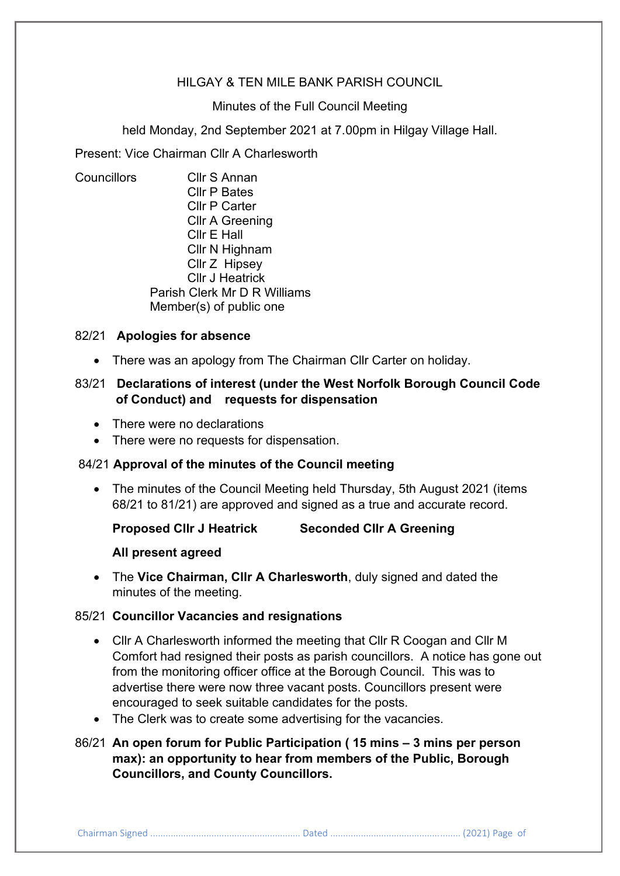# HILGAY & TEN MILE BANK PARISH COUNCIL

#### Minutes of the Full Council Meeting

held Monday, 2nd September 2021 at 7.00pm in Hilgay Village Hall.

Present: Vice Chairman Cllr A Charlesworth

Councillors Cllr S Annan Cllr P Bates Cllr P Carter Cllr A Greening Cllr E Hall Cllr N Highnam Cllr Z Hipsey Cllr J Heatrick Parish Clerk Mr D R Williams Member(s) of public one

#### 82/21 **Apologies for absence**

• There was an apology from The Chairman Cllr Carter on holiday.

# 83/21 **Declarations of interest (under the West Norfolk Borough Council Code of Conduct) and requests for dispensation**

- There were no declarations
- There were no requests for dispensation.

### 84/21 **Approval of the minutes of the Council meeting**

• The minutes of the Council Meeting held Thursday, 5th August 2021 (items 68/21 to 81/21) are approved and signed as a true and accurate record.

## **Proposed Cllr J Heatrick Seconded Cllr A Greening**

#### **All present agreed**

• The **Vice Chairman, Cllr A Charlesworth**, duly signed and dated the minutes of the meeting.

## 85/21 **Councillor Vacancies and resignations**

- Cllr A Charlesworth informed the meeting that Cllr R Coogan and Cllr M Comfort had resigned their posts as parish councillors. A notice has gone out from the monitoring officer office at the Borough Council. This was to advertise there were now three vacant posts. Councillors present were encouraged to seek suitable candidates for the posts.
- The Clerk was to create some advertising for the vacancies.

# 86/21 **An open forum for Public Participation ( 15 mins – 3 mins per person max): an opportunity to hear from members of the Public, Borough Councillors, and County Councillors.**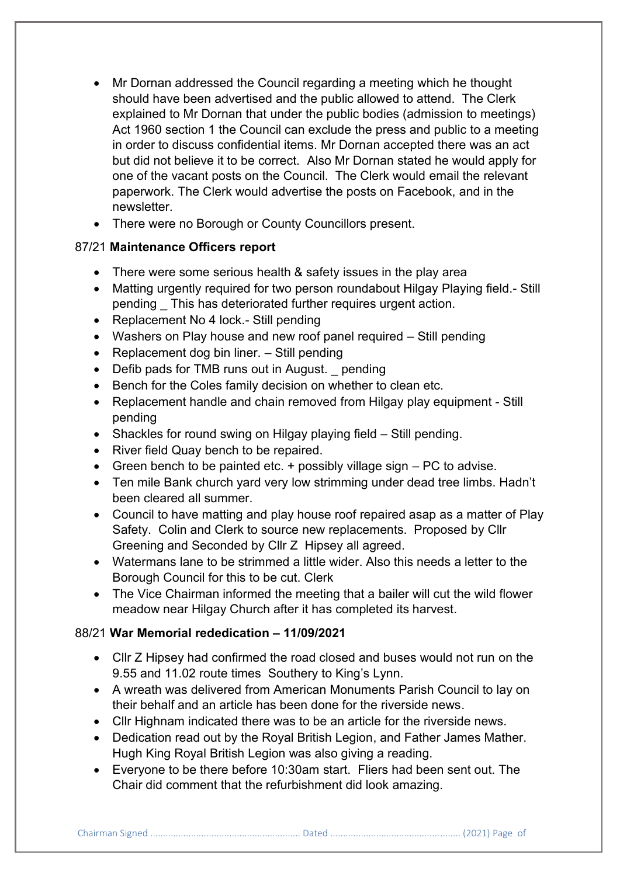- Mr Dornan addressed the Council regarding a meeting which he thought should have been advertised and the public allowed to attend. The Clerk explained to Mr Dornan that under the public bodies (admission to meetings) Act 1960 section 1 the Council can exclude the press and public to a meeting in order to discuss confidential items. Mr Dornan accepted there was an act but did not believe it to be correct. Also Mr Dornan stated he would apply for one of the vacant posts on the Council. The Clerk would email the relevant paperwork. The Clerk would advertise the posts on Facebook, and in the newsletter.
- There were no Borough or County Councillors present.

# 87/21 **Maintenance Officers report**

- There were some serious health & safety issues in the play area
- Matting urgently required for two person roundabout Hilgay Playing field.- Still pending \_ This has deteriorated further requires urgent action.
- Replacement No 4 lock.- Still pending
- Washers on Play house and new roof panel required Still pending
- Replacement dog bin liner. Still pending
- Defib pads for TMB runs out in August. pending
- Bench for the Coles family decision on whether to clean etc.
- Replacement handle and chain removed from Hilgay play equipment Still pending
- Shackles for round swing on Hilgay playing field Still pending.
- River field Quay bench to be repaired.
- Green bench to be painted etc.  $+$  possibly village sign  $-$  PC to advise.
- Ten mile Bank church yard very low strimming under dead tree limbs. Hadn't been cleared all summer.
- Council to have matting and play house roof repaired asap as a matter of Play Safety. Colin and Clerk to source new replacements. Proposed by Cllr Greening and Seconded by Cllr Z Hipsey all agreed.
- Watermans lane to be strimmed a little wider. Also this needs a letter to the Borough Council for this to be cut. Clerk
- The Vice Chairman informed the meeting that a bailer will cut the wild flower meadow near Hilgay Church after it has completed its harvest.

# 88/21 **War Memorial rededication – 11/09/2021**

- Cllr Z Hipsey had confirmed the road closed and buses would not run on the 9.55 and 11.02 route times Southery to King's Lynn.
- A wreath was delivered from American Monuments Parish Council to lay on their behalf and an article has been done for the riverside news.
- Cllr Highnam indicated there was to be an article for the riverside news.
- Dedication read out by the Royal British Legion, and Father James Mather. Hugh King Royal British Legion was also giving a reading.
- Everyone to be there before 10:30am start. Fliers had been sent out. The Chair did comment that the refurbishment did look amazing.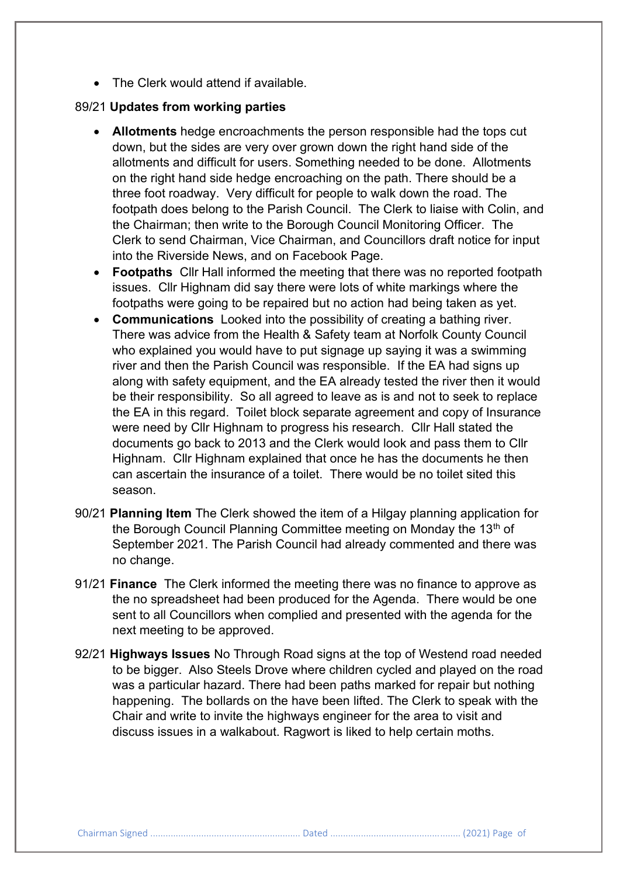• The Clerk would attend if available.

# 89/21 **Updates from working parties**

- **Allotments** hedge encroachments the person responsible had the tops cut down, but the sides are very over grown down the right hand side of the allotments and difficult for users. Something needed to be done. Allotments on the right hand side hedge encroaching on the path. There should be a three foot roadway. Very difficult for people to walk down the road. The footpath does belong to the Parish Council. The Clerk to liaise with Colin, and the Chairman; then write to the Borough Council Monitoring Officer. The Clerk to send Chairman, Vice Chairman, and Councillors draft notice for input into the Riverside News, and on Facebook Page.
- **Footpaths** Cllr Hall informed the meeting that there was no reported footpath issues. Cllr Highnam did say there were lots of white markings where the footpaths were going to be repaired but no action had being taken as yet.
- **Communications** Looked into the possibility of creating a bathing river. There was advice from the Health & Safety team at Norfolk County Council who explained you would have to put signage up saying it was a swimming river and then the Parish Council was responsible. If the EA had signs up along with safety equipment, and the EA already tested the river then it would be their responsibility. So all agreed to leave as is and not to seek to replace the EA in this regard. Toilet block separate agreement and copy of Insurance were need by Cllr Highnam to progress his research. Cllr Hall stated the documents go back to 2013 and the Clerk would look and pass them to Cllr Highnam. Cllr Highnam explained that once he has the documents he then can ascertain the insurance of a toilet. There would be no toilet sited this season.
- 90/21 **Planning Item** The Clerk showed the item of a Hilgay planning application for the Borough Council Planning Committee meeting on Monday the 13<sup>th</sup> of September 2021. The Parish Council had already commented and there was no change.
- 91/21 **Finance** The Clerk informed the meeting there was no finance to approve as the no spreadsheet had been produced for the Agenda. There would be one sent to all Councillors when complied and presented with the agenda for the next meeting to be approved.
- 92/21 **Highways Issues** No Through Road signs at the top of Westend road needed to be bigger. Also Steels Drove where children cycled and played on the road was a particular hazard. There had been paths marked for repair but nothing happening. The bollards on the have been lifted. The Clerk to speak with the Chair and write to invite the highways engineer for the area to visit and discuss issues in a walkabout. Ragwort is liked to help certain moths.